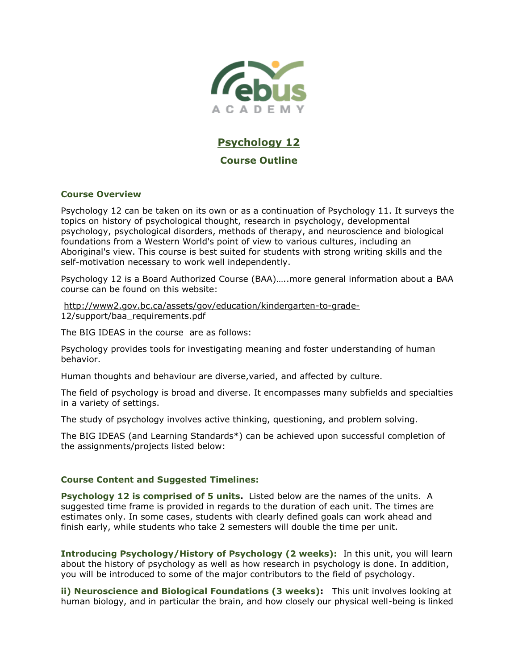

# **Psychology 12 Course Outline**

## **Course Overview**

Psychology 12 can be taken on its own or as a continuation of Psychology 11. It surveys the topics on history of psychological thought, research in psychology, developmental psychology, psychological disorders, methods of therapy, and neuroscience and biological foundations from a Western World's point of view to various cultures, including an Aboriginal's view. This course is best suited for students with strong writing skills and the self-motivation necessary to work well independently.

Psychology 12 is a Board Authorized Course (BAA)…..more general information about a BAA course can be found on this website:

[http://www2.gov.bc.ca/assets/gov/education/kindergarten-to-grade-](http://www2.gov.bc.ca/assets/gov/education/kindergarten-to-grade-12/support/baa_requirements.pdf)[12/support/baa\\_requirements.pdf](http://www2.gov.bc.ca/assets/gov/education/kindergarten-to-grade-12/support/baa_requirements.pdf)

The BIG IDEAS in the course are as follows:

Psychology provides tools for investigating meaning and foster understanding of human behavior.

Human thoughts and behaviour are diverse,varied, and affected by culture.

The field of psychology is broad and diverse. It encompasses many subfields and specialties in a variety of settings.

The study of psychology involves active thinking, questioning, and problem solving.

The BIG IDEAS (and Learning Standards\*) can be achieved upon successful completion of the assignments/projects listed below:

## **Course Content and Suggested Timelines:**

**Psychology 12 is comprised of 5 units.** Listed below are the names of the units. A suggested time frame is provided in regards to the duration of each unit. The times are estimates only. In some cases, students with clearly defined goals can work ahead and finish early, while students who take 2 semesters will double the time per unit.

**Introducing Psychology/History of Psychology (2 weeks):** In this unit, you will learn about the history of psychology as well as how research in psychology is done. In addition, you will be introduced to some of the major contributors to the field of psychology.

**ii) Neuroscience and Biological Foundations (3 weeks):** This unit involves looking at human biology, and in particular the brain, and how closely our physical well-being is linked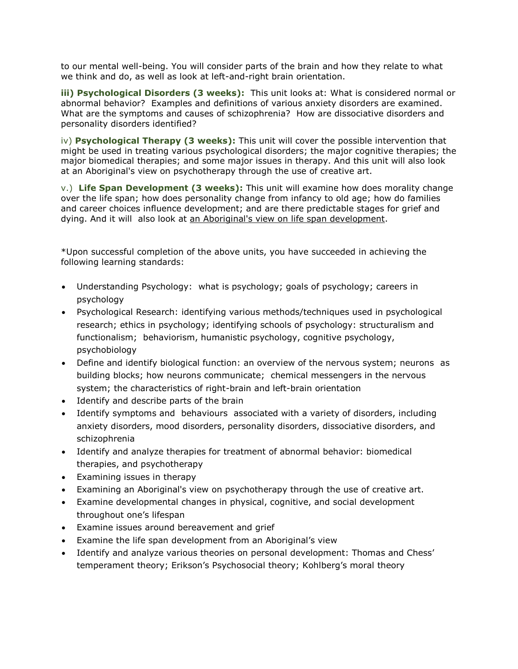to our mental well-being. You will consider parts of the brain and how they relate to what we think and do, as well as look at left-and-right brain orientation.

**iii) Psychological Disorders (3 weeks):** This unit looks at: What is considered normal or abnormal behavior? Examples and definitions of various anxiety disorders are examined. What are the symptoms and causes of schizophrenia? How are dissociative disorders and personality disorders identified?

iv) **Psychological Therapy (3 weeks):** This unit will cover the possible intervention that might be used in treating various psychological disorders; the major cognitive therapies; the major biomedical therapies; and some major issues in therapy. And this unit will also look at an Aboriginal's view on psychotherapy through the use of creative art.

v.) **Life Span Development (3 weeks):** This unit will examine how does morality change over the life span; how does personality change from infancy to old age; how do families and career choices influence development; and are there predictable stages for grief and dying. And it will also look at [an Aboriginal's view on life span development.](http://go.ebus.ca/mod/assign/view.php?id=92338)

\*Upon successful completion of the above units, you have succeeded in achieving the following learning standards:

- Understanding Psychology: what is psychology; goals of psychology; careers in psychology
- Psychological Research: identifying various methods/techniques used in psychological research; ethics in psychology; identifying schools of psychology: structuralism and functionalism; behaviorism, humanistic psychology, cognitive psychology, psychobiology
- Define and identify biological function: an overview of the nervous system; neurons as building blocks; how neurons communicate; chemical messengers in the nervous system; the characteristics of right-brain and left-brain orientation
- Identify and describe parts of the brain
- Identify symptoms and behaviours associated with a variety of disorders, including anxiety disorders, mood disorders, personality disorders, dissociative disorders, and schizophrenia
- Identify and analyze therapies for treatment of abnormal behavior: biomedical therapies, and psychotherapy
- Examining issues in therapy
- Examining an Aboriginal's view on psychotherapy through the use of creative art.
- Examine developmental changes in physical, cognitive, and social development throughout one's lifespan
- Examine issues around bereavement and grief
- Examine the life span development from an Aboriginal's view
- Identify and analyze various theories on personal development: Thomas and Chess' temperament theory; Erikson's Psychosocial theory; Kohlberg's moral theory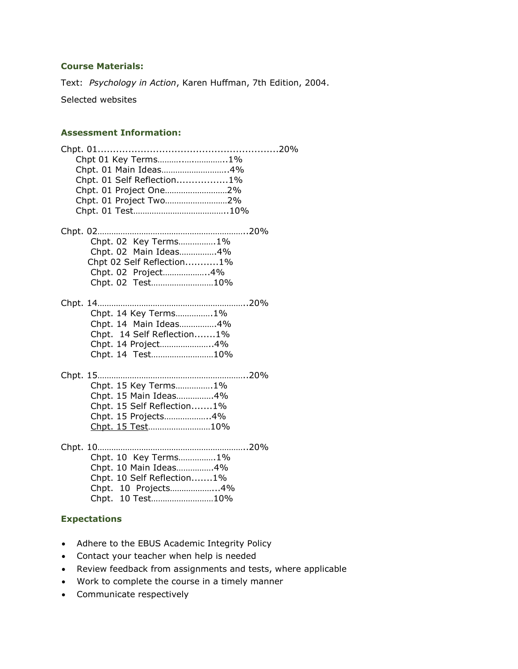# **Course Materials:**

Text: *Psychology in Action*, Karen Huffman, 7th Edition, 2004.

Selected websites

## **Assessment Information:**

# **Expectations**

- Adhere to the EBUS Academic Integrity Policy
- Contact your teacher when help is needed
- Review feedback from assignments and tests, where applicable
- Work to complete the course in a timely manner
- Communicate respectively